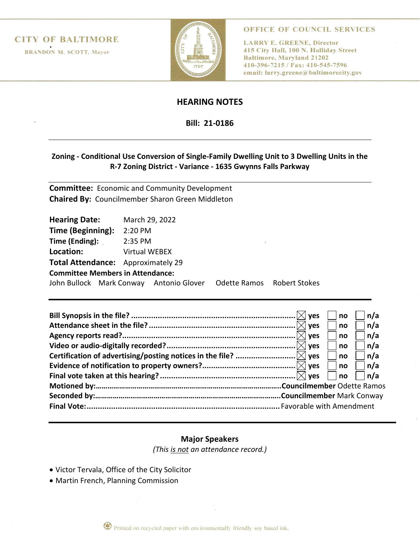**CITY OF BALTIMORE**<br>BRANDON M. SCOTT, Mayor



OFFICE OF COUNCIL SERVICES

**LARRY E. GREENE, Director** 415 City Hall, 100 N. Holliday Street **Baltimore, Maryland 21202** 410-396-7215 / Fax: 410-545-7596 email: larry.greene@baltimorecity.gov

## **HEARING NOTES**

## **Bill: 21-0186**

## **Zoning - Conditional Use Conversion of Single-Family Dwelling Unit to 3 Dwelling Units in the R-7 Zoning District - Variance - 1635 Gwynns Falls Parkway**

**Committee:** Economic and Community Development **Chaired By:** Councilmember Sharon Green Middleton

| Hearing Date: March 29, 2022                                       |               |  |  |  |  |  |
|--------------------------------------------------------------------|---------------|--|--|--|--|--|
| Time (Beginning):                                                  | 2:20 PM       |  |  |  |  |  |
| <b>Time (Ending):</b> $2:35 \text{ PM}$                            |               |  |  |  |  |  |
| Location:                                                          | Virtual WEBEX |  |  |  |  |  |
| <b>Total Attendance:</b> Approximately 29                          |               |  |  |  |  |  |
| <b>Committee Members in Attendance:</b>                            |               |  |  |  |  |  |
| John Bullock Mark Conway Antonio Glover Odette Ramos Robert Stokes |               |  |  |  |  |  |
|                                                                    |               |  |  |  |  |  |

| <b>ves</b>                           | no<br>no | n/a<br> n/a |  |  |
|--------------------------------------|----------|-------------|--|--|
| $\mathsf{I}\mathsf{X}\mathsf{I}$ ves | no       | n/a         |  |  |
|                                      | no       | n/a         |  |  |
|                                      | no       | n/a         |  |  |
|                                      | no       | n/a         |  |  |
|                                      | no       | n/a         |  |  |
|                                      |          |             |  |  |
|                                      |          |             |  |  |
|                                      |          |             |  |  |

## **Major Speakers**

*(This is not an attendance record.)*

- Victor Tervala, Office of the City Solicitor
- Martin French, Planning Commission